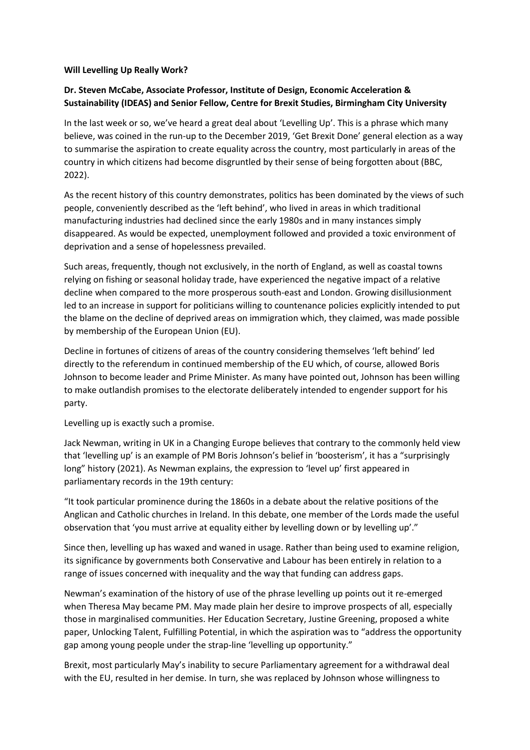## **Will Levelling Up Really Work?**

## **Dr. Steven McCabe, Associate Professor, Institute of Design, Economic Acceleration & Sustainability (IDEAS) and Senior Fellow, Centre for Brexit Studies, Birmingham City University**

In the last week or so, we've heard a great deal about 'Levelling Up'. This is a phrase which many believe, was coined in the run-up to the December 2019, 'Get Brexit Done' general election as a way to summarise the aspiration to create equality across the country, most particularly in areas of the country in which citizens had become disgruntled by their sense of being forgotten about (BBC, 2022).

As the recent history of this country demonstrates, politics has been dominated by the views of such people, conveniently described as the 'left behind', who lived in areas in which traditional manufacturing industries had declined since the early 1980s and in many instances simply disappeared. As would be expected, unemployment followed and provided a toxic environment of deprivation and a sense of hopelessness prevailed.

Such areas, frequently, though not exclusively, in the north of England, as well as coastal towns relying on fishing or seasonal holiday trade, have experienced the negative impact of a relative decline when compared to the more prosperous south-east and London. Growing disillusionment led to an increase in support for politicians willing to countenance policies explicitly intended to put the blame on the decline of deprived areas on immigration which, they claimed, was made possible by membership of the European Union (EU).

Decline in fortunes of citizens of areas of the country considering themselves 'left behind' led directly to the referendum in continued membership of the EU which, of course, allowed Boris Johnson to become leader and Prime Minister. As many have pointed out, Johnson has been willing to make outlandish promises to the electorate deliberately intended to engender support for his party.

Levelling up is exactly such a promise.

Jack Newman, writing in UK in a Changing Europe believes that contrary to the commonly held view that 'levelling up' is an example of PM Boris Johnson's belief in 'boosterism', it has a "surprisingly long" history (2021). As Newman explains, the expression to 'level up' first appeared in parliamentary records in the 19th century:

"It took particular prominence during the 1860s in a debate about the relative positions of the Anglican and Catholic churches in Ireland. In this debate, one member of the Lords made the useful observation that 'you must arrive at equality either by levelling down or by levelling up'."

Since then, levelling up has waxed and waned in usage. Rather than being used to examine religion, its significance by governments both Conservative and Labour has been entirely in relation to a range of issues concerned with inequality and the way that funding can address gaps.

Newman's examination of the history of use of the phrase levelling up points out it re-emerged when Theresa May became PM. May made plain her desire to improve prospects of all, especially those in marginalised communities. Her Education Secretary, Justine Greening, proposed a white paper, Unlocking Talent, Fulfilling Potential, in which the aspiration was to "address the opportunity gap among young people under the strap-line 'levelling up opportunity."

Brexit, most particularly May's inability to secure Parliamentary agreement for a withdrawal deal with the EU, resulted in her demise. In turn, she was replaced by Johnson whose willingness to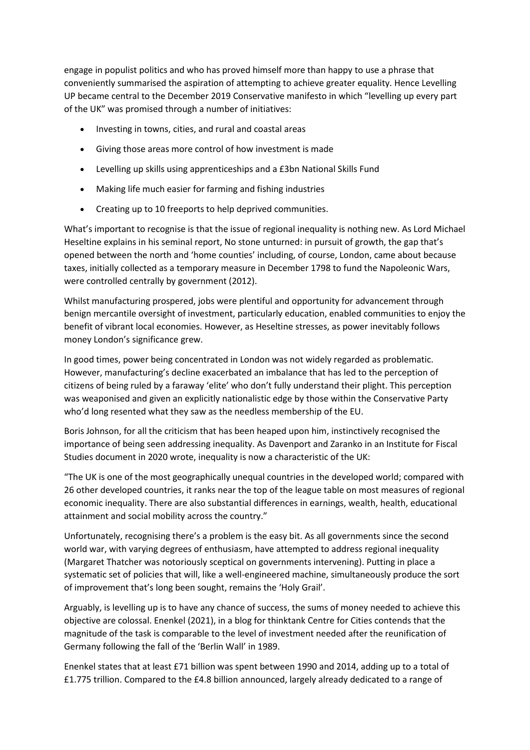engage in populist politics and who has proved himself more than happy to use a phrase that conveniently summarised the aspiration of attempting to achieve greater equality. Hence Levelling UP became central to the December 2019 Conservative manifesto in which "levelling up every part of the UK" was promised through a number of initiatives:

- Investing in towns, cities, and rural and coastal areas
- Giving those areas more control of how investment is made
- Levelling up skills using apprenticeships and a £3bn National Skills Fund
- Making life much easier for farming and fishing industries
- Creating up to 10 freeports to help deprived communities.

What's important to recognise is that the issue of regional inequality is nothing new. As Lord Michael Heseltine explains in his seminal report, No stone unturned: in pursuit of growth, the gap that's opened between the north and 'home counties' including, of course, London, came about because taxes, initially collected as a temporary measure in December 1798 to fund the Napoleonic Wars, were controlled centrally by government (2012).

Whilst manufacturing prospered, jobs were plentiful and opportunity for advancement through benign mercantile oversight of investment, particularly education, enabled communities to enjoy the benefit of vibrant local economies. However, as Heseltine stresses, as power inevitably follows money London's significance grew.

In good times, power being concentrated in London was not widely regarded as problematic. However, manufacturing's decline exacerbated an imbalance that has led to the perception of citizens of being ruled by a faraway 'elite' who don't fully understand their plight. This perception was weaponised and given an explicitly nationalistic edge by those within the Conservative Party who'd long resented what they saw as the needless membership of the EU.

Boris Johnson, for all the criticism that has been heaped upon him, instinctively recognised the importance of being seen addressing inequality. As Davenport and Zaranko in an Institute for Fiscal Studies document in 2020 wrote, inequality is now a characteristic of the UK:

"The UK is one of the most geographically unequal countries in the developed world; compared with 26 other developed countries, it ranks near the top of the league table on most measures of regional economic inequality. There are also substantial differences in earnings, wealth, health, educational attainment and social mobility across the country."

Unfortunately, recognising there's a problem is the easy bit. As all governments since the second world war, with varying degrees of enthusiasm, have attempted to address regional inequality (Margaret Thatcher was notoriously sceptical on governments intervening). Putting in place a systematic set of policies that will, like a well-engineered machine, simultaneously produce the sort of improvement that's long been sought, remains the 'Holy Grail'.

Arguably, is levelling up is to have any chance of success, the sums of money needed to achieve this objective are colossal. Enenkel (2021), in a blog for thinktank Centre for Cities contends that the magnitude of the task is comparable to the level of investment needed after the reunification of Germany following the fall of the 'Berlin Wall' in 1989.

Enenkel states that at least £71 billion was spent between 1990 and 2014, adding up to a total of £1.775 trillion. Compared to the £4.8 billion announced, largely already dedicated to a range of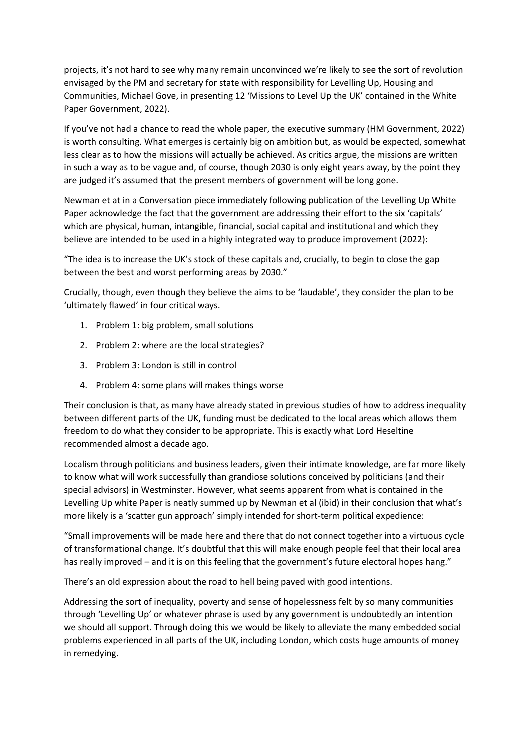projects, it's not hard to see why many remain unconvinced we're likely to see the sort of revolution envisaged by the PM and secretary for state with responsibility for Levelling Up, Housing and Communities, Michael Gove, in presenting 12 'Missions to Level Up the UK' contained in the White Paper Government, 2022).

If you've not had a chance to read the whole paper, the executive summary (HM Government, 2022) is worth consulting. What emerges is certainly big on ambition but, as would be expected, somewhat less clear as to how the missions will actually be achieved. As critics argue, the missions are written in such a way as to be vague and, of course, though 2030 is only eight years away, by the point they are judged it's assumed that the present members of government will be long gone.

Newman et at in a Conversation piece immediately following publication of the Levelling Up White Paper acknowledge the fact that the government are addressing their effort to the six 'capitals' which are physical, human, intangible, financial, social capital and institutional and which they believe are intended to be used in a highly integrated way to produce improvement (2022):

"The idea is to increase the UK's stock of these capitals and, crucially, to begin to close the gap between the best and worst performing areas by 2030."

Crucially, though, even though they believe the aims to be 'laudable', they consider the plan to be 'ultimately flawed' in four critical ways.

- 1. Problem 1: big problem, small solutions
- 2. Problem 2: where are the local strategies?
- 3. Problem 3: London is still in control
- 4. Problem 4: some plans will makes things worse

Their conclusion is that, as many have already stated in previous studies of how to address inequality between different parts of the UK, funding must be dedicated to the local areas which allows them freedom to do what they consider to be appropriate. This is exactly what Lord Heseltine recommended almost a decade ago.

Localism through politicians and business leaders, given their intimate knowledge, are far more likely to know what will work successfully than grandiose solutions conceived by politicians (and their special advisors) in Westminster. However, what seems apparent from what is contained in the Levelling Up white Paper is neatly summed up by Newman et al (ibid) in their conclusion that what's more likely is a 'scatter gun approach' simply intended for short-term political expedience:

"Small improvements will be made here and there that do not connect together into a virtuous cycle of transformational change. It's doubtful that this will make enough people feel that their local area has really improved – and it is on this feeling that the government's future electoral hopes hang."

There's an old expression about the road to hell being paved with good intentions.

Addressing the sort of inequality, poverty and sense of hopelessness felt by so many communities through 'Levelling Up' or whatever phrase is used by any government is undoubtedly an intention we should all support. Through doing this we would be likely to alleviate the many embedded social problems experienced in all parts of the UK, including London, which costs huge amounts of money in remedying.